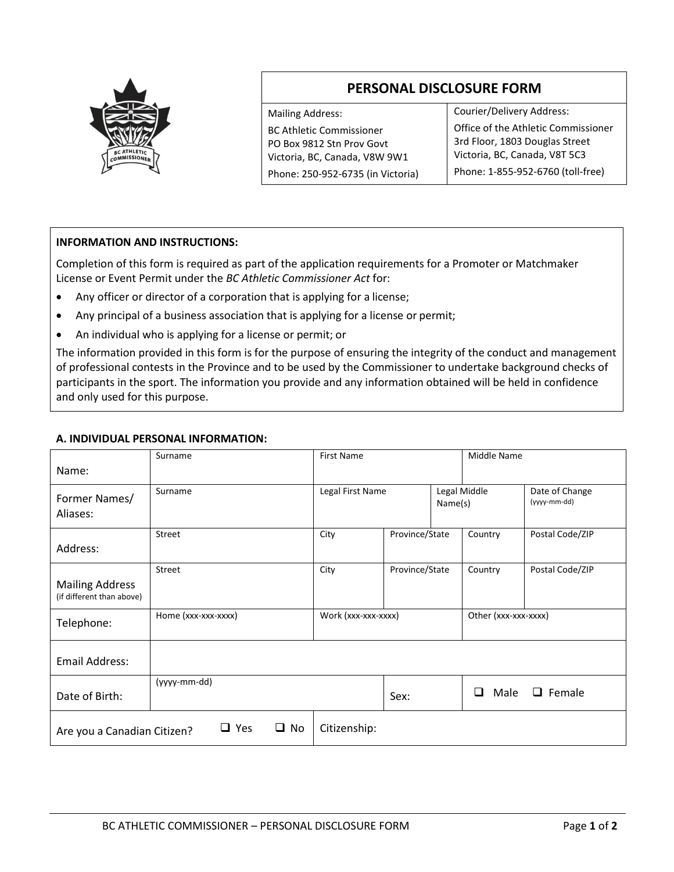

# **PERSONAL DISCLOSURE FORM**

Mailing Address: BC Athletic Commissioner PO Box 9812 Stn Prov Govt Victoria, BC, Canada, V8W 9W1 Phone: 250‐952‐6735 (in Victoria) Courier/Delivery Address: Office of the Athletic Commissioner 3rd Floor, 1803 Douglas Street Victoria, BC, Canada, V8T 5C3 Phone: 1‐855‐952‐6760 (toll‐free)

## **INFORMATION AND INSTRUCTIONS:**

Completion of this form is required as part of the application requirements for a Promoter or Matchmaker License or Event Permit under the *BC Athletic Commissioner Act* for:

- Any officer or director of a corporation that is applying for a license;
- Any principal of a business association that is applying for a license or permit;
- An individual who is applying for a license or permit; or

The information provided in this form is for the purpose of ensuring the integrity of the conduct and management of professional contests in the Province and to be used by the Commissioner to undertake background checks of participants in the sport. The information you provide and any information obtained will be held in confidence and only used for this purpose.

### **A. INDIVIDUAL PERSONAL INFORMATION:**

|                                                     | Surname                    | <b>First Name</b>   |                |  | Middle Name                |                                |  |
|-----------------------------------------------------|----------------------------|---------------------|----------------|--|----------------------------|--------------------------------|--|
| Name:                                               |                            |                     |                |  |                            |                                |  |
| Former Names/<br>Aliases:                           | Surname                    | Legal First Name    | Name(s)        |  | Legal Middle               | Date of Change<br>(yyyy-mm-dd) |  |
| Address:                                            | Street                     | City                | Province/State |  | Country                    | Postal Code/ZIP                |  |
| <b>Mailing Address</b><br>(if different than above) | Street                     | City                | Province/State |  | Country                    | Postal Code/ZIP                |  |
| Telephone:                                          | Home (xxx-xxx-xxxx)        | Work (xxx-xxx-xxxx) |                |  | Other (xxx-xxx-xxxx)       |                                |  |
| <b>Email Address:</b>                               |                            |                     |                |  |                            |                                |  |
| Date of Birth:                                      | (yyyy-mm-dd)               |                     | Sex:           |  | Male<br>$\Box$ Female<br>◻ |                                |  |
| Are you a Canadian Citizen?                         | $\square$ Yes<br>$\Box$ No | Citizenship:        |                |  |                            |                                |  |